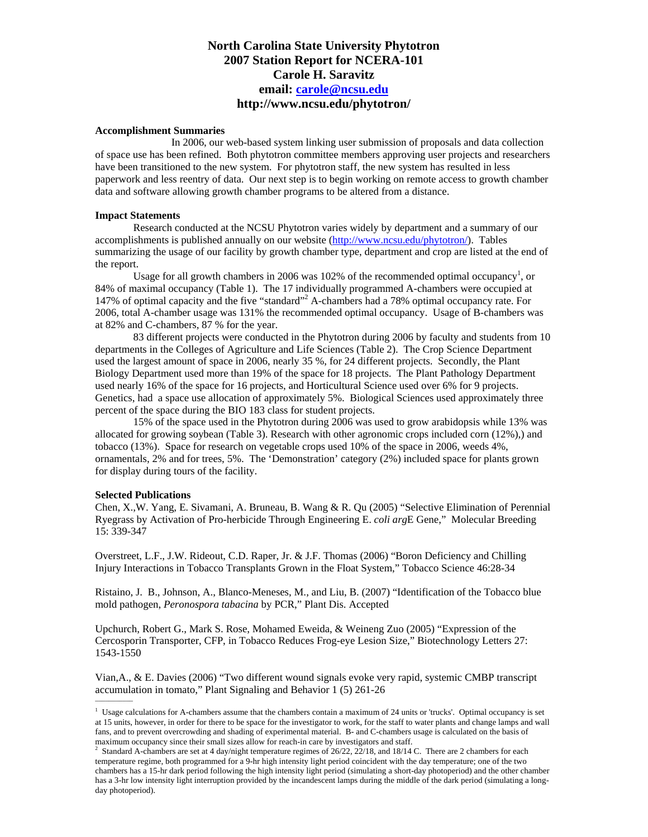# **North Carolina State University Phytotron 2007 Station Report for NCERA-101 Carole H. Saravitz email: [carole@ncsu.edu](mailto:carole@ncsu.edu) http://www.ncsu.edu/phytotron/**

# **Accomplishment Summaries**

 In 2006, our web-based system linking user submission of proposals and data collection of space use has been refined. Both phytotron committee members approving user projects and researchers have been transitioned to the new system. For phytotron staff, the new system has resulted in less paperwork and less reentry of data. Our next step is to begin working on remote access to growth chamber data and software allowing growth chamber programs to be altered from a distance.

# **Impact Statements**

Research conducted at the NCSU Phytotron varies widely by department and a summary of our accomplishments is published annually on our website [\(http://www.ncsu.edu/phytotron/\)](http://www.ncsu.edu/phytotron/). Tables summarizing the usage of our facility by growth chamber type, department and crop are listed at the end of the report.

Usage for all growth chambers in 2006 was 102% of the recommended optimal occupancy<sup>1</sup>, or 84% of maximal occupancy (Table 1). The 17 individually programmed A-chambers were occupied at 147% of optimal capacity and the five "standard"<sup>2</sup> A-chambers had a 78% optimal occupancy rate. For 2006, total A-chamber usage was 131% the recommended optimal occupancy. Usage of B-chambers was at 82% and C-chambers, 87 % for the year.

83 different projects were conducted in the Phytotron during 2006 by faculty and students from 10 departments in the Colleges of Agriculture and Life Sciences (Table 2). The Crop Science Department used the largest amount of space in 2006, nearly 35 %, for 24 different projects. Secondly, the Plant Biology Department used more than 19% of the space for 18 projects. The Plant Pathology Department used nearly 16% of the space for 16 projects, and Horticultural Science used over 6% for 9 projects. Genetics, had a space use allocation of approximately 5%. Biological Sciences used approximately three percent of the space during the BIO 183 class for student projects.

15% of the space used in the Phytotron during 2006 was used to grow arabidopsis while 13% was allocated for growing soybean (Table 3). Research with other agronomic crops included corn (12%),) and tobacco (13%). Space for research on vegetable crops used 10% of the space in 2006, weeds 4%, ornamentals, 2% and for trees, 5%. The 'Demonstration' category (2%) included space for plants grown for display during tours of the facility.

## **Selected Publications**

Chen, X.,W. Yang, E. Sivamani, A. Bruneau, B. Wang & R. Qu (2005) "Selective Elimination of Perennial Ryegrass by Activation of Pro-herbicide Through Engineering E. *coli arg*E Gene," Molecular Breeding 15: 339-347

Overstreet, L.F., J.W. Rideout, C.D. Raper, Jr. & J.F. Thomas (2006) "Boron Deficiency and Chilling Injury Interactions in Tobacco Transplants Grown in the Float System," Tobacco Science 46:28-34

Ristaino, J. B., Johnson, A., Blanco-Meneses, M., and Liu, B. (2007) "Identification of the Tobacco blue mold pathogen, *Peronospora tabacina* by PCR," Plant Dis. Accepted

Upchurch, Robert G., Mark S. Rose, Mohamed Eweida, & Weineng Zuo (2005) "Expression of the Cercosporin Transporter, CFP, in Tobacco Reduces Frog-eye Lesion Size," Biotechnology Letters 27: 1543-1550

Vian,A., & E. Davies (2006) "Two different wound signals evoke very rapid, systemic CMBP transcript accumulation in tomato," Plant Signaling and Behavior  $1(5)$  261-26

<sup>&</sup>lt;sup>1</sup> Usage calculations for A-chambers assume that the chambers contain a maximum of 24 units or 'trucks'. Optimal occupancy is set at 15 units, however, in order for there to be space for the investigator to work, for the staff to water plants and change lamps and wall fans, and to prevent overcrowding and shading of experimental material. B- and C-chambers usage is calculated on the basis of maximum occupancy since their small sizes allow for reach-in care by investigators and staff. 2

<sup>&</sup>lt;sup>2</sup> Standard A-chambers are set at 4 day/night temperature regimes of  $26/22$ ,  $22/18$ , and  $18/14$  C. There are 2 chambers for each temperature regime, both programmed for a 9-hr high intensity light period coincident with the day temperature; one of the two chambers has a 15-hr dark period following the high intensity light period (simulating a short-day photoperiod) and the other chamber has a 3-hr low intensity light interruption provided by the incandescent lamps during the middle of the dark period (simulating a longday photoperiod).